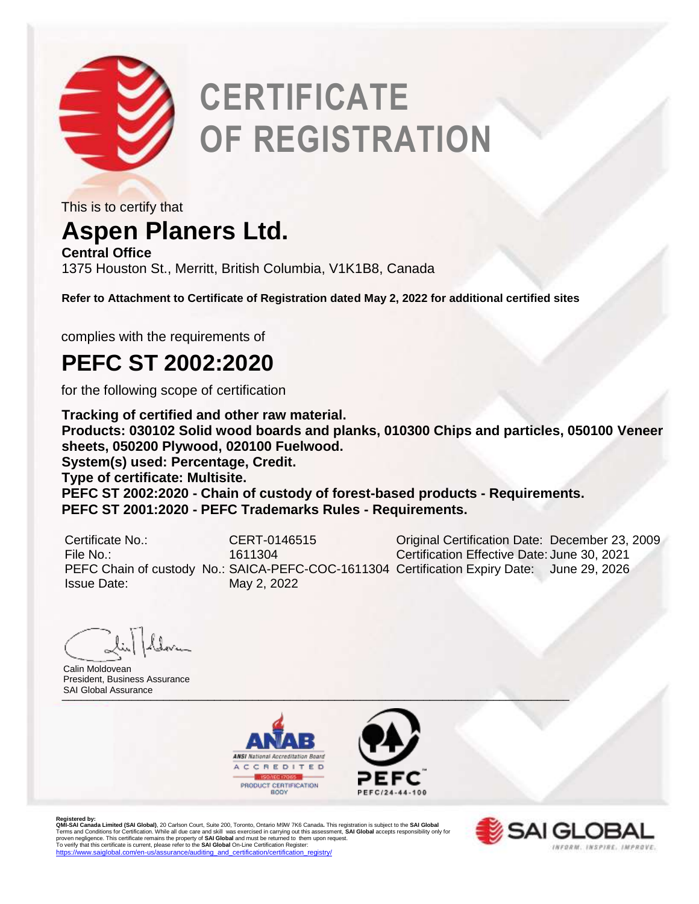

# **CERTIFICATE OF REGISTRATION**

This is to certify that

### **Aspen Planers Ltd.**

**Central Office** 1375 Houston St., Merritt, British Columbia, V1K1B8, Canada

**Refer to Attachment to Certificate of Registration dated May 2, 2022 for additional certified sites**

complies with the requirements of

#### **PEFC ST 2002:2020**

for the following scope of certification

**Tracking of certified and other raw material. Products: 030102 Solid wood boards and planks, 010300 Chips and particles, 050100 Veneer sheets, 050200 Plywood, 020100 Fuelwood. System(s) used: Percentage, Credit. Type of certificate: Multisite. PEFC ST 2002:2020 - Chain of custody of forest-based products - Requirements. PEFC ST 2001:2020 - PEFC Trademarks Rules - Requirements.**

| Certificate No.:   | CERT-0146515                                                                               | Original Certification Date: December 23, 2009 |  |
|--------------------|--------------------------------------------------------------------------------------------|------------------------------------------------|--|
| File No.:          | 1611304                                                                                    | Certification Effective Date: June 30, 2021    |  |
|                    | PEFC Chain of custody No.: SAICA-PEFC-COC-1611304 Certification Expiry Date: June 29, 2026 |                                                |  |
| <b>Issue Date:</b> | May 2, 2022                                                                                |                                                |  |

SALGIODAI ASSUrance Calin Moldovean President, Business Assurance SAI Global Assurance





Registered by:<br>**QMI-SA Landa Limited (SAI Global)**, 20 Carlson Court, Suite 200, Toronto, Ontario M9W 7K6 Canada. This registration is subject to the **SAI Global**<br>Terms and Conditions for Certification. While all due care